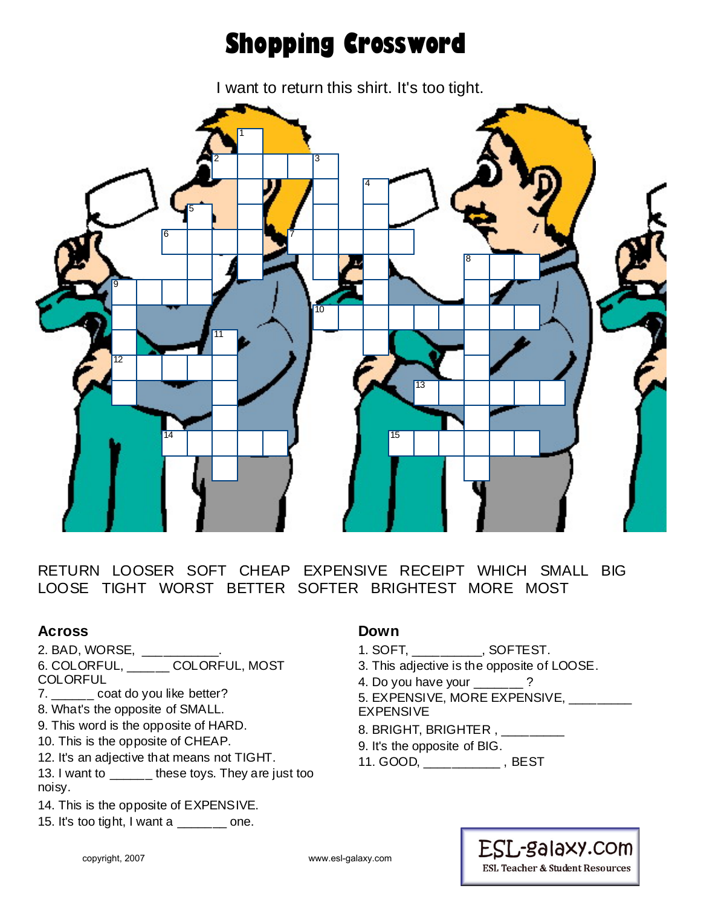## **Shopping Crossword**

I want to return this shirt. It's too tight.



RETURN LOOSER SOFT CHEAP EXPENSIVE RECEIPT WHICH SMALL BIG LOOSE TIGHT WORST BETTER SOFTER BRIGHTEST MORE MOST

## **Across**

- 2. BAD, WORSE, \_\_\_\_\_\_\_\_\_\_\_.
- 6. COLORFUL, \_\_\_\_\_\_ COLORFUL, MOST
- **COLORFUL**
- 7. \_\_\_\_\_\_ coat do you like better?
- 8. What's the opposite of SMALL.
- 9. This word is the opposite of HARD.
- 10. This is the opposite of CHEAP.
- 12. It's an adjective that means not TIGHT.
- 13. I want to \_\_\_\_\_\_ these toys. They are just too noisy.
- 14. This is the opposite of EXPENSIVE.
- 15. It's too tight, I want a \_\_\_\_\_\_ one.

#### **Down**

- 1. SOFT, \_\_\_\_\_\_\_\_\_\_, SOFTEST.
- 3. This adjective is the opposite of LOOSE.
- 4. Do you have your \_\_\_\_\_\_\_?
- 5. EXPENSIVE, MORE EXPENSIVE, **\_\_\_\_\_\_\_\_** EXPENSIVE
- 8. BRIGHT, BRIGHTER, \_\_\_\_\_\_\_\_\_
- 9. It's the opposite of BIG.
- 11. GOOD, \_\_\_\_\_\_\_\_\_\_\_ , BEST